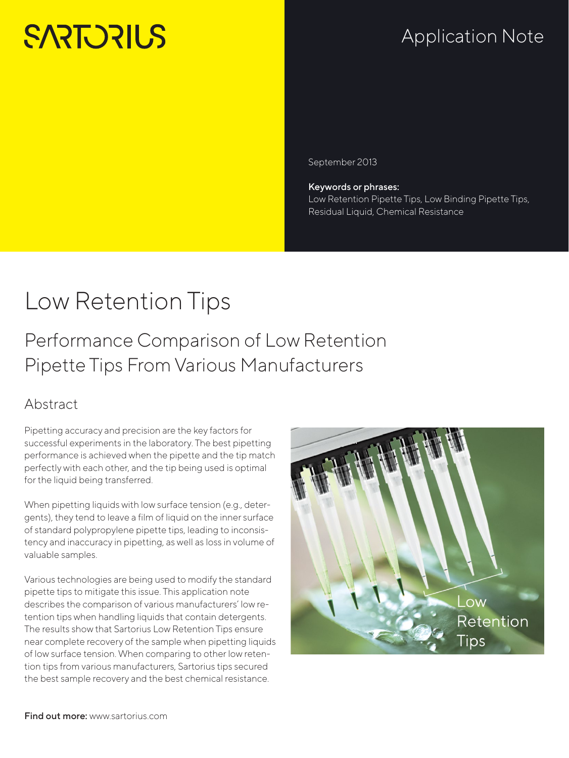# **SARTORILS**

## Application Note

September 2013

Keywords or phrases: Low Retention Pipette Tips, Low Binding Pipette Tips, Residual Liquid, Chemical Resistance

## Low Retention Tips

Performance Comparison of Low Retention Pipette Tips From Various Manufacturers

## Abstract

Pipetting accuracy and precision are the key factors for successful experiments in the laboratory. The best pipetting performance is achieved when the pipette and the tip match perfectly with each other, and the tip being used is optimal for the liquid being transferred.

When pipetting liquids with low surface tension (e.g., detergents), they tend to leave a film of liquid on the inner surface of standard polypropylene pipette tips, leading to inconsistency and inaccuracy in pipetting, as well as loss in volume of valuable samples.

Various technologies are being used to modify the standard pipette tips to mitigate this issue. This application note describes the comparison of various manufacturers' low retention tips when handling liquids that contain detergents. The results show that Sartorius Low Retention Tips ensure near complete recovery of the sample when pipetting liquids of low surface tension. When comparing to other low retention tips from various manufacturers, Sartorius tips secured the best sample recovery and the best chemical resistance.

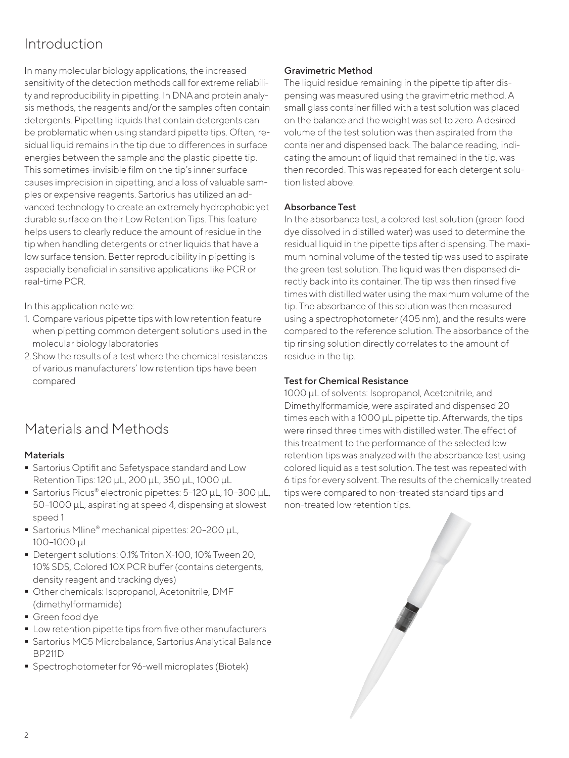## Introduction

In many molecular biology applications, the increased sensitivity of the detection methods call for extreme reliability and reproducibility in pipetting. In DNA and protein analysis methods, the reagents and/or the samples often contain detergents. Pipetting liquids that contain detergents can be problematic when using standard pipette tips. Often, residual liquid remains in the tip due to differences in surface energies between the sample and the plastic pipette tip. This sometimes-invisible film on the tip's inner surface causes imprecision in pipetting, and a loss of valuable samples or expensive reagents. Sartorius has utilized an advanced technology to create an extremely hydrophobic yet durable surface on their Low Retention Tips. This feature helps users to clearly reduce the amount of residue in the tip when handling detergents or other liquids that have a low surface tension. Better reproducibility in pipetting is especially beneficial in sensitive applications like PCR or real-time PCR.

In this application note we:

- 1. Compare various pipette tips with low retention feature when pipetting common detergent solutions used in the molecular biology laboratories
- 2.Show the results of a test where the chemical resistances of various manufacturers' low retention tips have been compared

## Materials and Methods

#### Materials

- **Sartorius Optifit and Safetyspace standard and Low** Retention Tips: 120 µL, 200 µL, 350 µL, 1000 µL
- Sartorius Picus® electronic pipettes: 5-120 µL, 10-300 µL, 50–1000 µL, aspirating at speed 4, dispensing at slowest speed 1
- Sartorius Mline® mechanical pipettes: 20-200 µL, 100–1000 µL
- Detergent solutions: 0.1% Triton X-100, 10% Tween 20, 10% SDS, Colored 10X PCR buffer (contains detergents, density reagent and tracking dyes)
- Other chemicals: Isopropanol, Acetonitrile, DMF (dimethylformamide)
- Green food dye
- **Low retention pipette tips from five other manufacturers**
- Sartorius MC5 Microbalance, Sartorius Analytical Balance BP211D
- Spectrophotometer for 96-well microplates (Biotek)

#### Gravimetric Method

The liquid residue remaining in the pipette tip after dispensing was measured using the gravimetric method. A small glass container filled with a test solution was placed on the balance and the weight was set to zero. A desired volume of the test solution was then aspirated from the container and dispensed back. The balance reading, indicating the amount of liquid that remained in the tip, was then recorded. This was repeated for each detergent solution listed above.

#### Absorbance Test

In the absorbance test, a colored test solution (green food dye dissolved in distilled water) was used to determine the residual liquid in the pipette tips after dispensing. The maximum nominal volume of the tested tip was used to aspirate the green test solution. The liquid was then dispensed directly back into its container. The tip was then rinsed five times with distilled water using the maximum volume of the tip. The absorbance of this solution was then measured using a spectrophotometer (405 nm), and the results were compared to the reference solution. The absorbance of the tip rinsing solution directly correlates to the amount of residue in the tip.

#### Test for Chemical Resistance

1000 µL of solvents: Isopropanol, Acetonitrile, and Dimethylformamide, were aspirated and dispensed 20 times each with a 1000 µL pipette tip. Afterwards, the tips were rinsed three times with distilled water. The effect of this treatment to the performance of the selected low retention tips was analyzed with the absorbance test using colored liquid as a test solution. The test was repeated with 6 tips for every solvent. The results of the chemically treated tips were compared to non-treated standard tips and non-treated low retention tips.

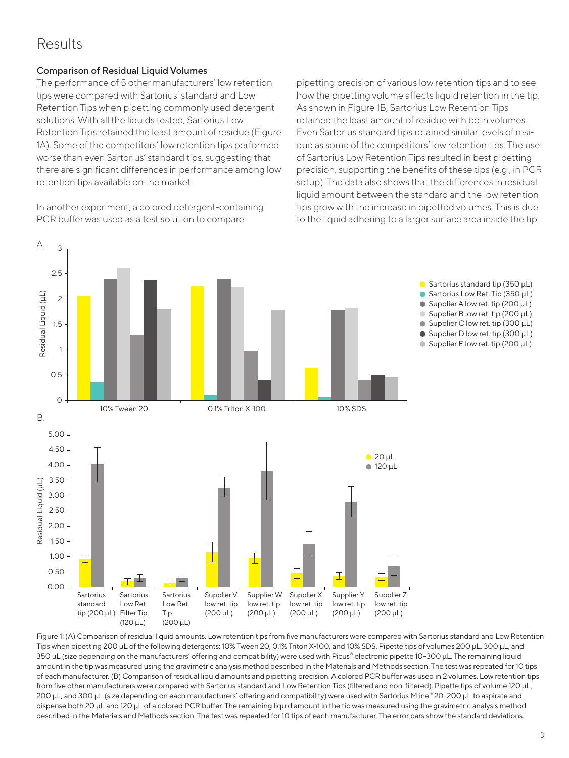### Results

A.

3

#### Comparison of Residual Liquid Volumes

The performance of 5 other manufacturers' low retention tips were compared with Sartorius' standard and Low Retention Tips when pipetting commonly used detergent solutions. With all the liquids tested, Sartorius Low Retention Tips retained the least amount of residue (Figure 1A). Some of the competitors' low retention tips performed worse than even Sartorius' standard tips, suggesting that there are significant differences in performance among low retention tips available on the market.

In another experiment, a colored detergent-containing PCR buffer was used as a test solution to compare

pipetting precision of various low retention tips and to see how the pipetting volume affects liquid retention in the tip. As shown in Figure 1B, Sartorius Low Retention Tips retained the least amount of residue with both volumes. Even Sartorius standard tips retained similar levels of residue as some of the competitors' low retention tips. The use of Sartorius Low Retention Tips resulted in best pipetting precision, supporting the benefits of these tips (e.g., in PCR setup). The data also shows that the differences in residual liquid amount between the standard and the low retention tips grow with the increase in pipetted volumes. This is due to the liquid adhering to a larger surface area inside the tip.



Figure 1: (A) Comparison of residual liquid amounts. Low retention tips from five manufacturers were compared with Sartorius standard and Low Retention Tips when pipetting 200 µL of the following detergents: 10% Tween 20, 0.1% Triton X-100, and 10% SDS. Pipette tips of volumes 200 µL, 300 µL, and 350 µL (size depending on the manufacturers' offering and compatibility) were used with Picus® electronic pipette 10–300 µL. The remaining liquid amount in the tip was measured using the gravimetric analysis method described in the Materials and Methods section. The test was repeated for 10 tips of each manufacturer. (B) Comparison of residual liquid amounts and pipetting precision. A colored PCR buffer was used in 2 volumes. Low retention tips from five other manufacturers were compared with Sartorius standard and Low Retention Tips (filtered and non-filtered). Pipette tips of volume 120 µL, 200 µL, and 300 µL (size depending on each manufacturers' offering and compatibility) were used with Sartorius Mline® 20–200 µL to aspirate and dispense both 20 µL and 120 µL of a colored PCR buffer. The remaining liquid amount in the tip was measured using the gravimetric analysis method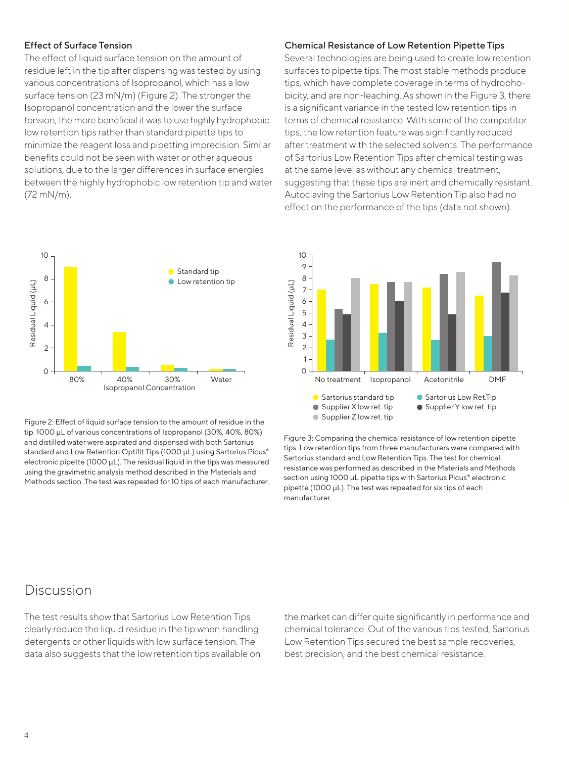#### Effect of Surface Tension

The effect of liquid surface tension on the amount of residue left in the tip after dispensing was tested by using various concentrations of Isopropanol, which has a low surface tension (23 mN/m) (Figure 2). The stronger the Isopropanol concentration and the lower the surface tension, the more beneficial it was to use highly hydrophobic low retention tips rather than standard pipette tips to minimize the reagent loss and pipetting imprecision. Similar benefits could not be seen with water or other aqueous solutions, due to the larger differences in surface energies between the highly hydrophobic low retention tip and water (72 mN/m).



Figure 2: Effect of liquid surface tension to the amount of residue in the tip. 1000 µL of various concentrations of Isopropanol (30%, 40%, 80%) and distilled water were aspirated and dispensed with both Sartorius standard and Low Retention Optifit Tips (1000 µL) using Sartorius Picus® electronic pipette (1000 µL). The residual liquid in the tips was measured using the gravimetric analysis method described in the Materials and Methods section. The test was repeated for 10 tips of each manufacturer.

#### Chemical Resistance of Low Retention Pipette Tips

Several technologies are being used to create low retention surfaces to pipette tips. The most stable methods produce tips, which have complete coverage in terms of hydrophobicity, and are non-leaching. As shown in the Figure 3, there is a significant variance in the tested low retention tips in terms of chemical resistance. With some of the competitor tips, the low retention feature was significantly reduced after treatment with the selected solvents. The performance of Sartorius Low Retention Tips after chemical testing was at the same level as without any chemical treatment, suggesting that these tips are inert and chemically resistant. Autoclaving the Sartorius Low Retention Tip also had no effect on the performance of the tips (data not shown).



Figure 3: Comparing the chemical resistance of low retention pipette tips. Low retention tips from three manufacturers were compared with Sartorius standard and Low Retention Tips. The test for chemical resistance was performed as described in the Materials and Methods section using 1000 µL pipette tips with Sartorius Picus® electronic pipette (1000 µL). The test was repeated for six tips of each manufacturer.

### **Discussion**

The test results show that Sartorius Low Retention Tips clearly reduce the liquid residue in the tip when handling detergents or other liquids with low surface tension. The data also suggests that the low retention tips available on the market can differ quite significantly in performance and chemical tolerance. Out of the various tips tested, Sartorius Low Retention Tips secured the best sample recoveries, best precision, and the best chemical resistance.